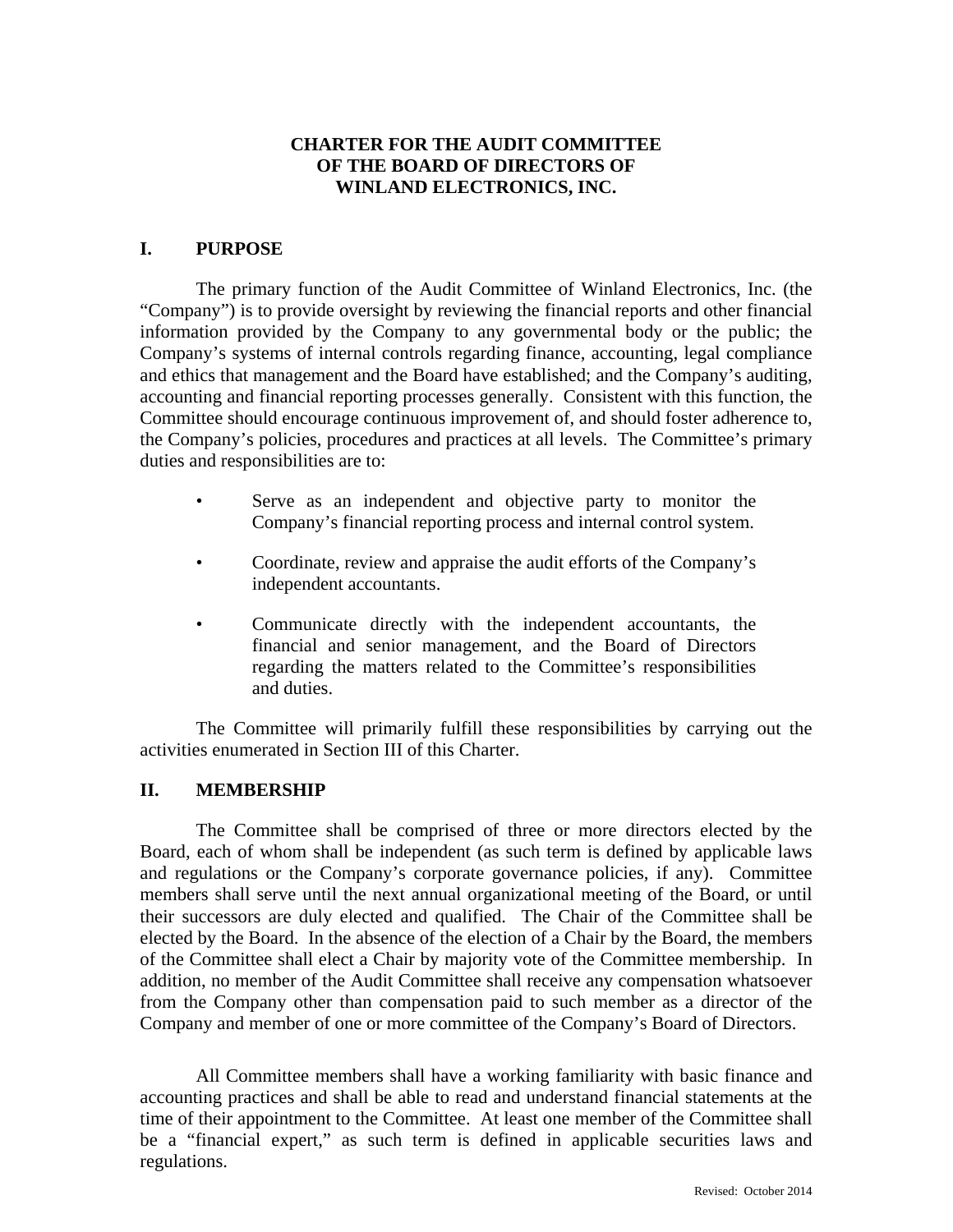# **CHARTER FOR THE AUDIT COMMITTEE OF THE BOARD OF DIRECTORS OF WINLAND ELECTRONICS, INC.**

## **I. PURPOSE**

The primary function of the Audit Committee of Winland Electronics, Inc. (the "Company") is to provide oversight by reviewing the financial reports and other financial information provided by the Company to any governmental body or the public; the Company's systems of internal controls regarding finance, accounting, legal compliance and ethics that management and the Board have established; and the Company's auditing, accounting and financial reporting processes generally. Consistent with this function, the Committee should encourage continuous improvement of, and should foster adherence to, the Company's policies, procedures and practices at all levels. The Committee's primary duties and responsibilities are to:

- Serve as an independent and objective party to monitor the Company's financial reporting process and internal control system.
- Coordinate, review and appraise the audit efforts of the Company's independent accountants.
- Communicate directly with the independent accountants, the financial and senior management, and the Board of Directors regarding the matters related to the Committee's responsibilities and duties.

The Committee will primarily fulfill these responsibilities by carrying out the activities enumerated in Section III of this Charter.

#### **II. MEMBERSHIP**

The Committee shall be comprised of three or more directors elected by the Board, each of whom shall be independent (as such term is defined by applicable laws and regulations or the Company's corporate governance policies, if any). Committee members shall serve until the next annual organizational meeting of the Board, or until their successors are duly elected and qualified. The Chair of the Committee shall be elected by the Board. In the absence of the election of a Chair by the Board, the members of the Committee shall elect a Chair by majority vote of the Committee membership. In addition, no member of the Audit Committee shall receive any compensation whatsoever from the Company other than compensation paid to such member as a director of the Company and member of one or more committee of the Company's Board of Directors.

All Committee members shall have a working familiarity with basic finance and accounting practices and shall be able to read and understand financial statements at the time of their appointment to the Committee. At least one member of the Committee shall be a "financial expert," as such term is defined in applicable securities laws and regulations.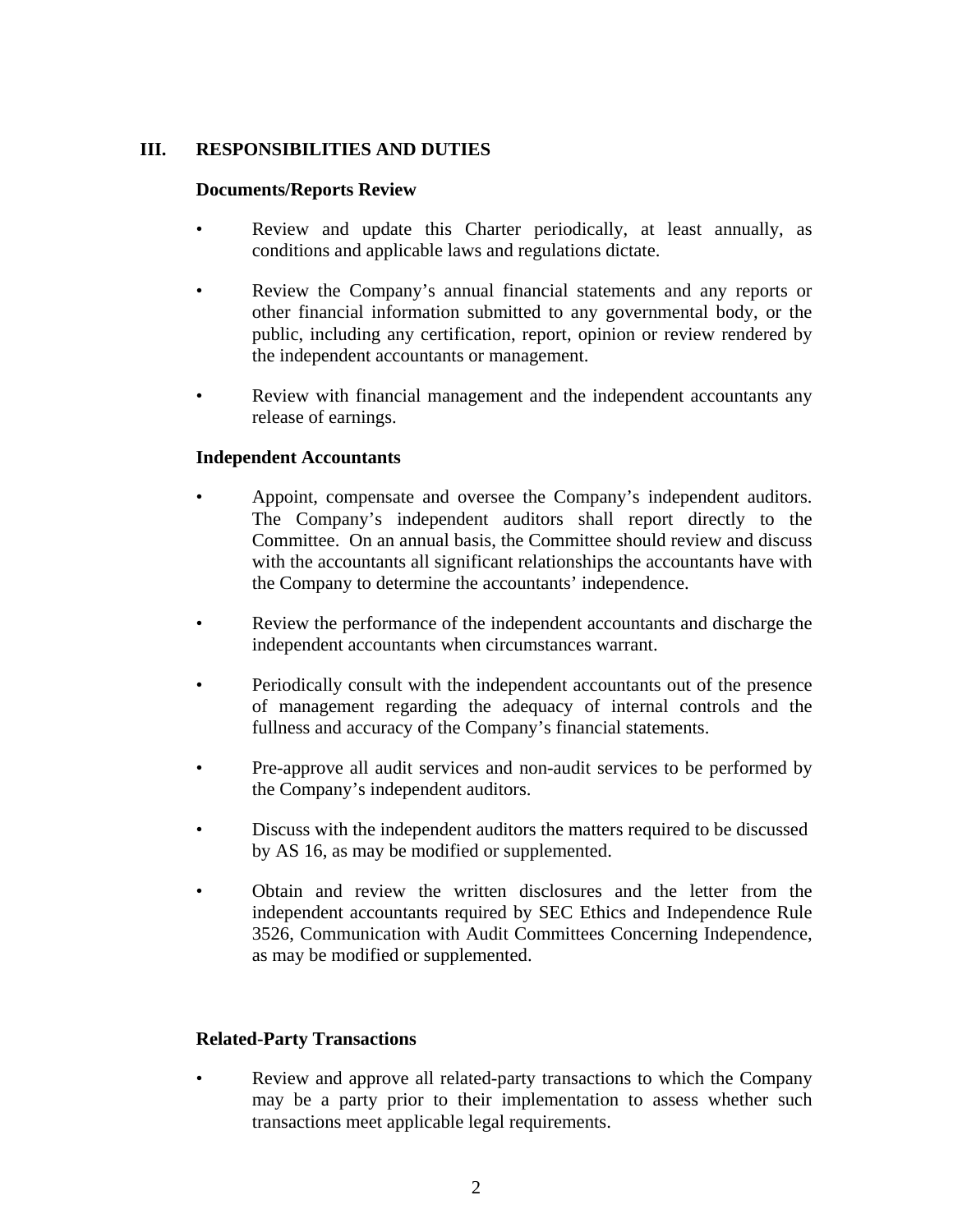## **III. RESPONSIBILITIES AND DUTIES**

#### **Documents/Reports Review**

- Review and update this Charter periodically, at least annually, as conditions and applicable laws and regulations dictate.
- Review the Company's annual financial statements and any reports or other financial information submitted to any governmental body, or the public, including any certification, report, opinion or review rendered by the independent accountants or management.
- Review with financial management and the independent accountants any release of earnings.

#### **Independent Accountants**

- Appoint, compensate and oversee the Company's independent auditors. The Company's independent auditors shall report directly to the Committee. On an annual basis, the Committee should review and discuss with the accountants all significant relationships the accountants have with the Company to determine the accountants' independence.
- Review the performance of the independent accountants and discharge the independent accountants when circumstances warrant.
- Periodically consult with the independent accountants out of the presence of management regarding the adequacy of internal controls and the fullness and accuracy of the Company's financial statements.
- Pre-approve all audit services and non-audit services to be performed by the Company's independent auditors.
- Discuss with the independent auditors the matters required to be discussed by AS 16, as may be modified or supplemented.
- Obtain and review the written disclosures and the letter from the independent accountants required by SEC Ethics and Independence Rule 3526, Communication with Audit Committees Concerning Independence, as may be modified or supplemented.

#### **Related-Party Transactions**

• Review and approve all related-party transactions to which the Company may be a party prior to their implementation to assess whether such transactions meet applicable legal requirements.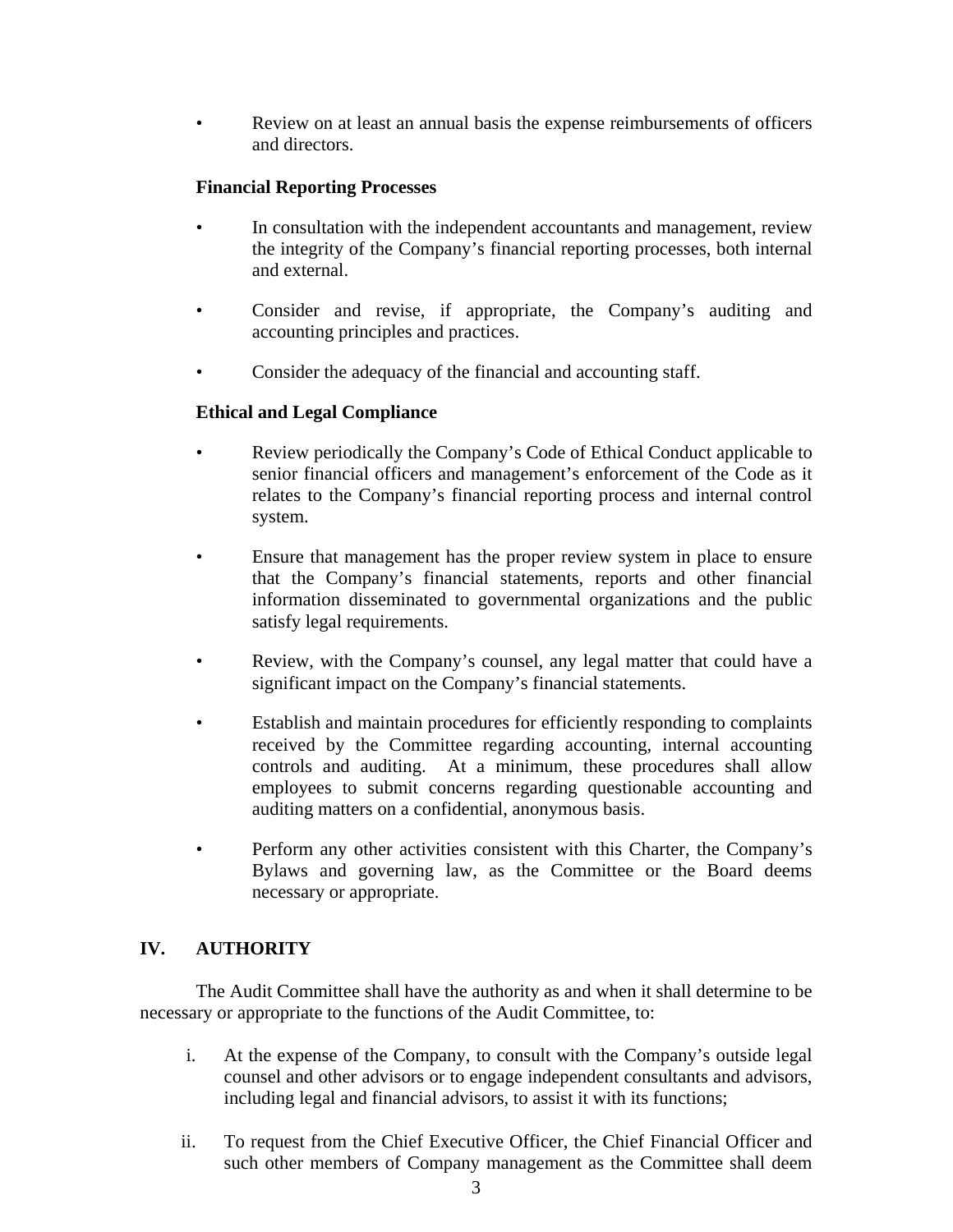• Review on at least an annual basis the expense reimbursements of officers and directors.

## **Financial Reporting Processes**

- In consultation with the independent accountants and management, review the integrity of the Company's financial reporting processes, both internal and external.
- Consider and revise, if appropriate, the Company's auditing and accounting principles and practices.
- Consider the adequacy of the financial and accounting staff.

### **Ethical and Legal Compliance**

- Review periodically the Company's Code of Ethical Conduct applicable to senior financial officers and management's enforcement of the Code as it relates to the Company's financial reporting process and internal control system.
- Ensure that management has the proper review system in place to ensure that the Company's financial statements, reports and other financial information disseminated to governmental organizations and the public satisfy legal requirements.
- Review, with the Company's counsel, any legal matter that could have a significant impact on the Company's financial statements.
- Establish and maintain procedures for efficiently responding to complaints received by the Committee regarding accounting, internal accounting controls and auditing. At a minimum, these procedures shall allow employees to submit concerns regarding questionable accounting and auditing matters on a confidential, anonymous basis.
- Perform any other activities consistent with this Charter, the Company's Bylaws and governing law, as the Committee or the Board deems necessary or appropriate.

# **IV. AUTHORITY**

 The Audit Committee shall have the authority as and when it shall determine to be necessary or appropriate to the functions of the Audit Committee, to:

- i. At the expense of the Company, to consult with the Company's outside legal counsel and other advisors or to engage independent consultants and advisors, including legal and financial advisors, to assist it with its functions;
- ii. To request from the Chief Executive Officer, the Chief Financial Officer and such other members of Company management as the Committee shall deem